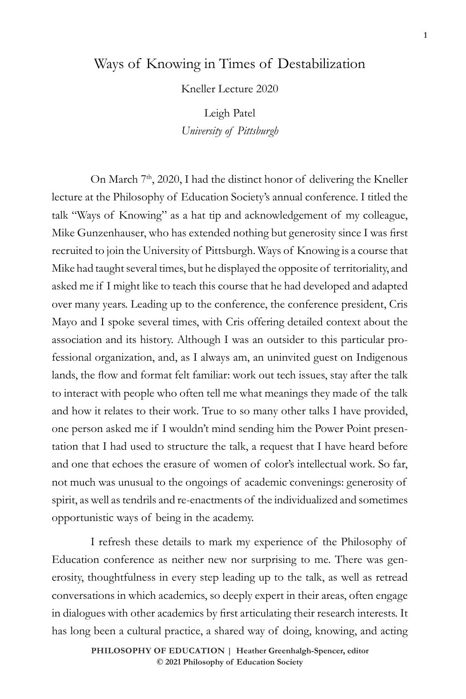## Ways of Knowing in Times of Destabilization

Kneller Lecture 2020

Leigh Patel *University of Pittsburgh*

On March 7<sup>th</sup>, 2020, I had the distinct honor of delivering the Kneller lecture at the Philosophy of Education Society's annual conference. I titled the talk "Ways of Knowing" as a hat tip and acknowledgement of my colleague, Mike Gunzenhauser, who has extended nothing but generosity since I was first recruited to join the University of Pittsburgh. Ways of Knowing is a course that Mike had taught several times, but he displayed the opposite of territoriality, and asked me if I might like to teach this course that he had developed and adapted over many years. Leading up to the conference, the conference president, Cris Mayo and I spoke several times, with Cris offering detailed context about the association and its history. Although I was an outsider to this particular professional organization, and, as I always am, an uninvited guest on Indigenous lands, the flow and format felt familiar: work out tech issues, stay after the talk to interact with people who often tell me what meanings they made of the talk and how it relates to their work. True to so many other talks I have provided, one person asked me if I wouldn't mind sending him the Power Point presentation that I had used to structure the talk, a request that I have heard before and one that echoes the erasure of women of color's intellectual work. So far, not much was unusual to the ongoings of academic convenings: generosity of spirit, as well as tendrils and re-enactments of the individualized and sometimes opportunistic ways of being in the academy.

I refresh these details to mark my experience of the Philosophy of Education conference as neither new nor surprising to me. There was generosity, thoughtfulness in every step leading up to the talk, as well as retread conversations in which academics, so deeply expert in their areas, often engage in dialogues with other academics by first articulating their research interests. It has long been a cultural practice, a shared way of doing, knowing, and acting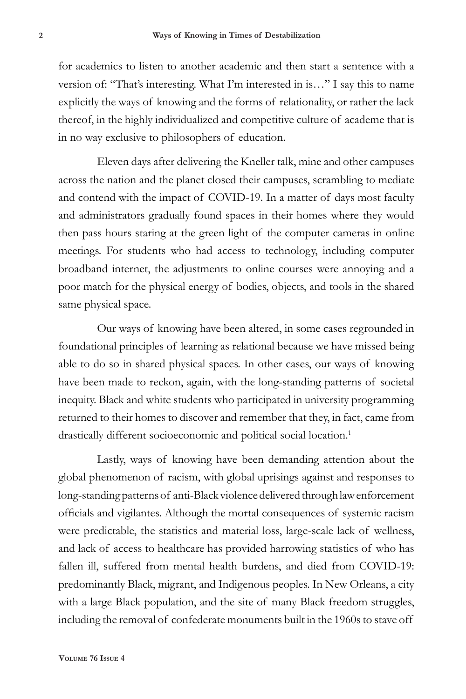for academics to listen to another academic and then start a sentence with a version of: "That's interesting. What I'm interested in is…" I say this to name explicitly the ways of knowing and the forms of relationality, or rather the lack thereof, in the highly individualized and competitive culture of academe that is in no way exclusive to philosophers of education.

Eleven days after delivering the Kneller talk, mine and other campuses across the nation and the planet closed their campuses, scrambling to mediate and contend with the impact of COVID-19. In a matter of days most faculty and administrators gradually found spaces in their homes where they would then pass hours staring at the green light of the computer cameras in online meetings. For students who had access to technology, including computer broadband internet, the adjustments to online courses were annoying and a poor match for the physical energy of bodies, objects, and tools in the shared same physical space.

Our ways of knowing have been altered, in some cases regrounded in foundational principles of learning as relational because we have missed being able to do so in shared physical spaces. In other cases, our ways of knowing have been made to reckon, again, with the long-standing patterns of societal inequity. Black and white students who participated in university programming returned to their homes to discover and remember that they, in fact, came from drastically different socioeconomic and political social location.<sup>1</sup>

Lastly, ways of knowing have been demanding attention about the global phenomenon of racism, with global uprisings against and responses to long-standing patterns of anti-Black violence delivered through law enforcement officials and vigilantes. Although the mortal consequences of systemic racism were predictable, the statistics and material loss, large-scale lack of wellness, and lack of access to healthcare has provided harrowing statistics of who has fallen ill, suffered from mental health burdens, and died from COVID-19: predominantly Black, migrant, and Indigenous peoples. In New Orleans, a city with a large Black population, and the site of many Black freedom struggles, including the removal of confederate monuments built in the 1960s to stave off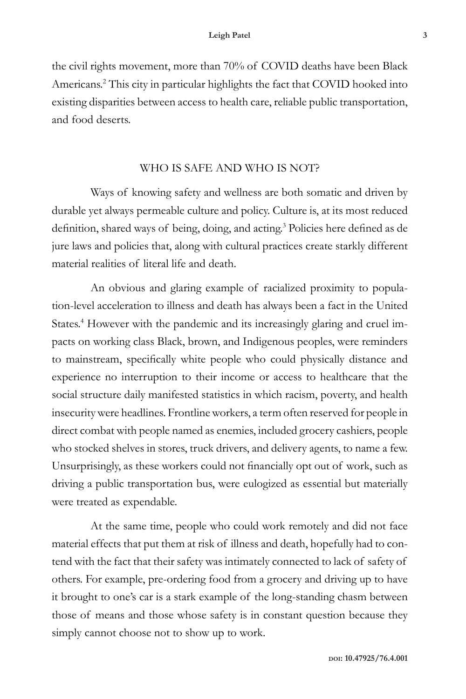the civil rights movement, more than 70% of COVID deaths have been Black Americans.2 This city in particular highlights the fact that COVID hooked into existing disparities between access to health care, reliable public transportation, and food deserts.

### WHO IS SAFE AND WHO IS NOT?

Ways of knowing safety and wellness are both somatic and driven by durable yet always permeable culture and policy. Culture is, at its most reduced definition, shared ways of being, doing, and acting.<sup>3</sup> Policies here defined as de jure laws and policies that, along with cultural practices create starkly different material realities of literal life and death.

An obvious and glaring example of racialized proximity to population-level acceleration to illness and death has always been a fact in the United States.<sup>4</sup> However with the pandemic and its increasingly glaring and cruel impacts on working class Black, brown, and Indigenous peoples, were reminders to mainstream, specifically white people who could physically distance and experience no interruption to their income or access to healthcare that the social structure daily manifested statistics in which racism, poverty, and health insecurity were headlines. Frontline workers, a term often reserved for people in direct combat with people named as enemies, included grocery cashiers, people who stocked shelves in stores, truck drivers, and delivery agents, to name a few. Unsurprisingly, as these workers could not financially opt out of work, such as driving a public transportation bus, were eulogized as essential but materially were treated as expendable.

At the same time, people who could work remotely and did not face material effects that put them at risk of illness and death, hopefully had to contend with the fact that their safety was intimately connected to lack of safety of others. For example, pre-ordering food from a grocery and driving up to have it brought to one's car is a stark example of the long-standing chasm between those of means and those whose safety is in constant question because they simply cannot choose not to show up to work.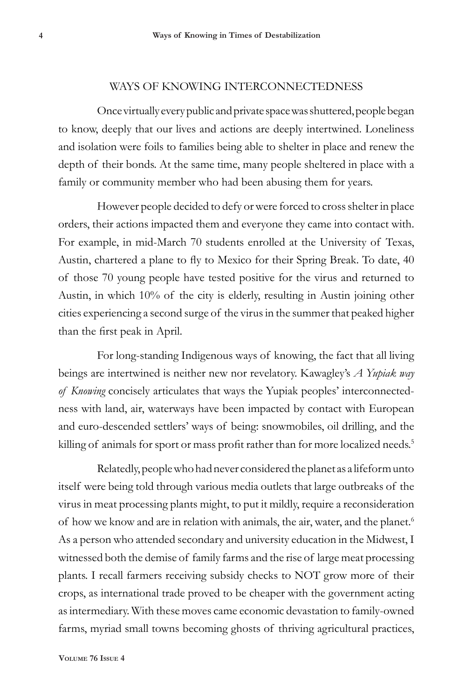#### WAYS OF KNOWING INTERCONNECTEDNESS

Once virtually every public and private space was shuttered, people began to know, deeply that our lives and actions are deeply intertwined. Loneliness and isolation were foils to families being able to shelter in place and renew the depth of their bonds. At the same time, many people sheltered in place with a family or community member who had been abusing them for years.

However people decided to defy or were forced to cross shelter in place orders, their actions impacted them and everyone they came into contact with. For example, in mid-March 70 students enrolled at the University of Texas, Austin, chartered a plane to fly to Mexico for their Spring Break. To date, 40 of those 70 young people have tested positive for the virus and returned to Austin, in which 10% of the city is elderly, resulting in Austin joining other cities experiencing a second surge of the virus in the summer that peaked higher than the first peak in April.

For long-standing Indigenous ways of knowing, the fact that all living beings are intertwined is neither new nor revelatory. Kawagley's *A Yupiak way of Knowing* concisely articulates that ways the Yupiak peoples' interconnectedness with land, air, waterways have been impacted by contact with European and euro-descended settlers' ways of being: snowmobiles, oil drilling, and the killing of animals for sport or mass profit rather than for more localized needs.<sup>5</sup>

Relatedly, people who had never considered the planet as a lifeform unto itself were being told through various media outlets that large outbreaks of the virus in meat processing plants might, to put it mildly, require a reconsideration of how we know and are in relation with animals, the air, water, and the planet.<sup>6</sup> As a person who attended secondary and university education in the Midwest, I witnessed both the demise of family farms and the rise of large meat processing plants. I recall farmers receiving subsidy checks to NOT grow more of their crops, as international trade proved to be cheaper with the government acting as intermediary. With these moves came economic devastation to family-owned farms, myriad small towns becoming ghosts of thriving agricultural practices,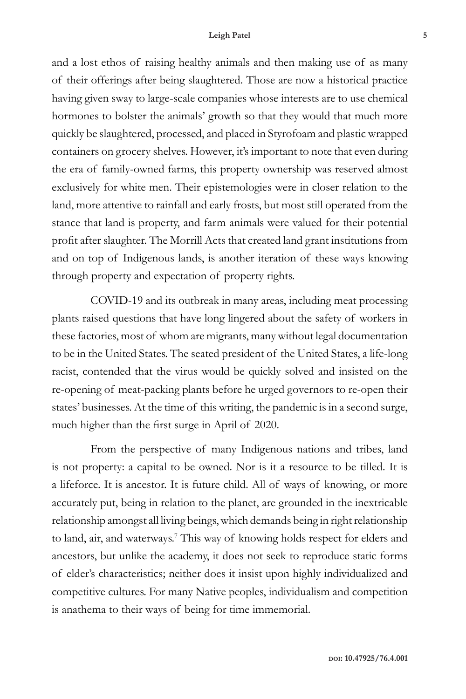#### **Leigh Patel 5**

and a lost ethos of raising healthy animals and then making use of as many of their offerings after being slaughtered. Those are now a historical practice having given sway to large-scale companies whose interests are to use chemical hormones to bolster the animals' growth so that they would that much more quickly be slaughtered, processed, and placed in Styrofoam and plastic wrapped containers on grocery shelves. However, it's important to note that even during the era of family-owned farms, this property ownership was reserved almost exclusively for white men. Their epistemologies were in closer relation to the land, more attentive to rainfall and early frosts, but most still operated from the stance that land is property, and farm animals were valued for their potential profit after slaughter. The Morrill Acts that created land grant institutions from and on top of Indigenous lands, is another iteration of these ways knowing through property and expectation of property rights.

COVID-19 and its outbreak in many areas, including meat processing plants raised questions that have long lingered about the safety of workers in these factories, most of whom are migrants, many without legal documentation to be in the United States. The seated president of the United States, a life-long racist, contended that the virus would be quickly solved and insisted on the re-opening of meat-packing plants before he urged governors to re-open their states' businesses. At the time of this writing, the pandemic is in a second surge, much higher than the first surge in April of 2020.

From the perspective of many Indigenous nations and tribes, land is not property: a capital to be owned. Nor is it a resource to be tilled. It is a lifeforce. It is ancestor. It is future child. All of ways of knowing, or more accurately put, being in relation to the planet, are grounded in the inextricable relationship amongst all living beings, which demands being in right relationship to land, air, and waterways.<sup>7</sup> This way of knowing holds respect for elders and ancestors, but unlike the academy, it does not seek to reproduce static forms of elder's characteristics; neither does it insist upon highly individualized and competitive cultures. For many Native peoples, individualism and competition is anathema to their ways of being for time immemorial.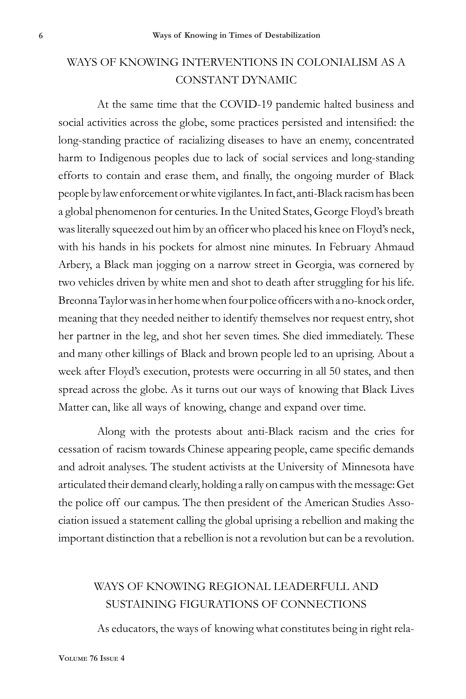# WAYS OF KNOWING INTERVENTIONS IN COLONIALISM AS A CONSTANT DYNAMIC

At the same time that the COVID-19 pandemic halted business and social activities across the globe, some practices persisted and intensified: the long-standing practice of racializing diseases to have an enemy, concentrated harm to Indigenous peoples due to lack of social services and long-standing efforts to contain and erase them, and finally, the ongoing murder of Black people by law enforcement or white vigilantes. In fact, anti-Black racism has been a global phenomenon for centuries. In the United States, George Floyd's breath was literally squeezed out him by an officer who placed his knee on Floyd's neck, with his hands in his pockets for almost nine minutes. In February Ahmaud Arbery, a Black man jogging on a narrow street in Georgia, was cornered by two vehicles driven by white men and shot to death after struggling for his life. Breonna Taylor was in her home when four police officers with a no-knock order, meaning that they needed neither to identify themselves nor request entry, shot her partner in the leg, and shot her seven times. She died immediately. These and many other killings of Black and brown people led to an uprising. About a week after Floyd's execution, protests were occurring in all 50 states, and then spread across the globe. As it turns out our ways of knowing that Black Lives Matter can, like all ways of knowing, change and expand over time.

Along with the protests about anti-Black racism and the cries for cessation of racism towards Chinese appearing people, came specific demands and adroit analyses. The student activists at the University of Minnesota have articulated their demand clearly, holding a rally on campus with the message: Get the police off our campus. The then president of the American Studies Association issued a statement calling the global uprising a rebellion and making the important distinction that a rebellion is not a revolution but can be a revolution.

# WAYS OF KNOWING REGIONAL LEADERFULL AND SUSTAINING FIGURATIONS OF CONNECTIONS

As educators, the ways of knowing what constitutes being in right rela-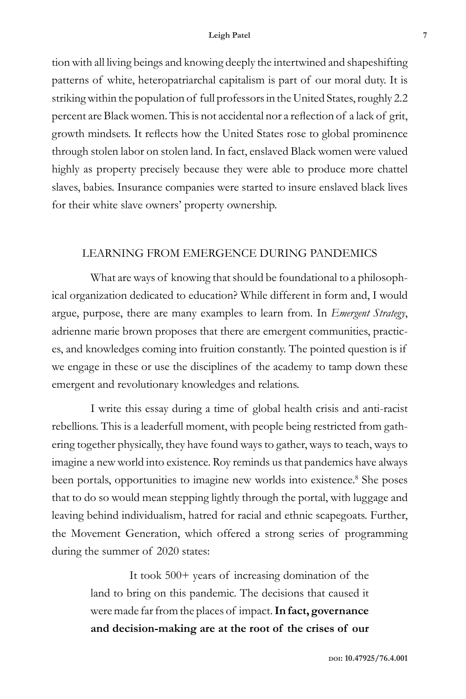#### **Leigh Patel 7**

tion with all living beings and knowing deeply the intertwined and shapeshifting patterns of white, heteropatriarchal capitalism is part of our moral duty. It is striking within the population of full professors in the United States, roughly 2.2 percent are Black women. This is not accidental nor a reflection of a lack of grit, growth mindsets. It reflects how the United States rose to global prominence through stolen labor on stolen land. In fact, enslaved Black women were valued highly as property precisely because they were able to produce more chattel slaves, babies. Insurance companies were started to insure enslaved black lives for their white slave owners' property ownership.

### LEARNING FROM EMERGENCE DURING PANDEMICS

What are ways of knowing that should be foundational to a philosophical organization dedicated to education? While different in form and, I would argue, purpose, there are many examples to learn from. In *Emergent Strategy*, adrienne marie brown proposes that there are emergent communities, practices, and knowledges coming into fruition constantly. The pointed question is if we engage in these or use the disciplines of the academy to tamp down these emergent and revolutionary knowledges and relations.

I write this essay during a time of global health crisis and anti-racist rebellions. This is a leaderfull moment, with people being restricted from gathering together physically, they have found ways to gather, ways to teach, ways to imagine a new world into existence. Roy reminds us that pandemics have always been portals, opportunities to imagine new worlds into existence.<sup>8</sup> She poses that to do so would mean stepping lightly through the portal, with luggage and leaving behind individualism, hatred for racial and ethnic scapegoats. Further, the Movement Generation, which offered a strong series of programming during the summer of 2020 states:

> It took 500+ years of increasing domination of the land to bring on this pandemic. The decisions that caused it were made far from the places of impact.**In fact, governance and decision-making are at the root of the crises of our**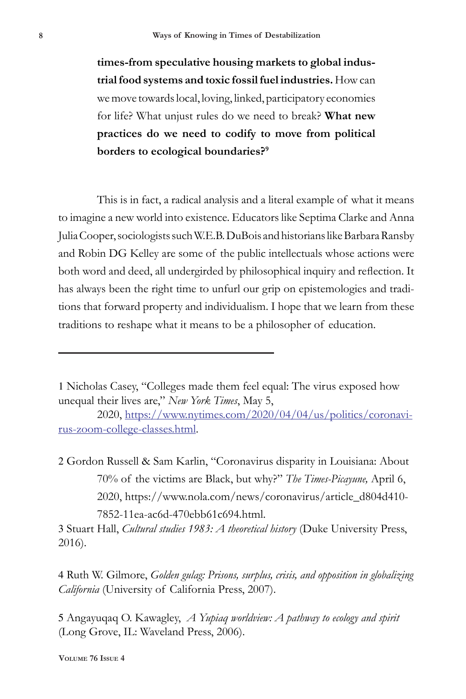**times-from speculative housing markets to global industrial food systems and toxic fossil fuel industries.** How can we move towards local, loving, linked, participatory economies for life? What unjust rules do we need to break? **What new practices do we need to codify to move from political borders to ecological boundaries?9**

This is in fact, a radical analysis and a literal example of what it means to imagine a new world into existence. Educators like Septima Clarke and Anna Julia Cooper, sociologists such W.E.B. DuBois and historians like Barbara Ransby and Robin DG Kelley are some of the public intellectuals whose actions were both word and deed, all undergirded by philosophical inquiry and reflection. It has always been the right time to unfurl our grip on epistemologies and traditions that forward property and individualism. I hope that we learn from these traditions to reshape what it means to be a philosopher of education.

2 Gordon Russell & Sam Karlin, "Coronavirus disparity in Louisiana: About 70% of the victims are Black, but why?" *The Times-Picayune,* April 6, 2020, https://www.nola.com/news/coronavirus/article\_d804d410- 7852-11ea-ac6d-470ebb61c694.html.

3 Stuart Hall, *Cultural studies 1983: A theoretical history* (Duke University Press, 2016).

4 Ruth W. Gilmore, *Golden gulag: Prisons, surplus, crisis, and opposition in globalizing California* (University of California Press, 2007).

5 Angayuqaq O. Kawagley, *A Yupiaq worldview: A pathway to ecology and spirit* (Long Grove, IL: Waveland Press, 2006).

<sup>1</sup> Nicholas Casey, "Colleges made them feel equal: The virus exposed how unequal their lives are," *New York Times*, May 5,

<sup>2020,</sup> https://www.nytimes.com/2020/04/04/us/politics/coronavirus-zoom-college-classes.html.